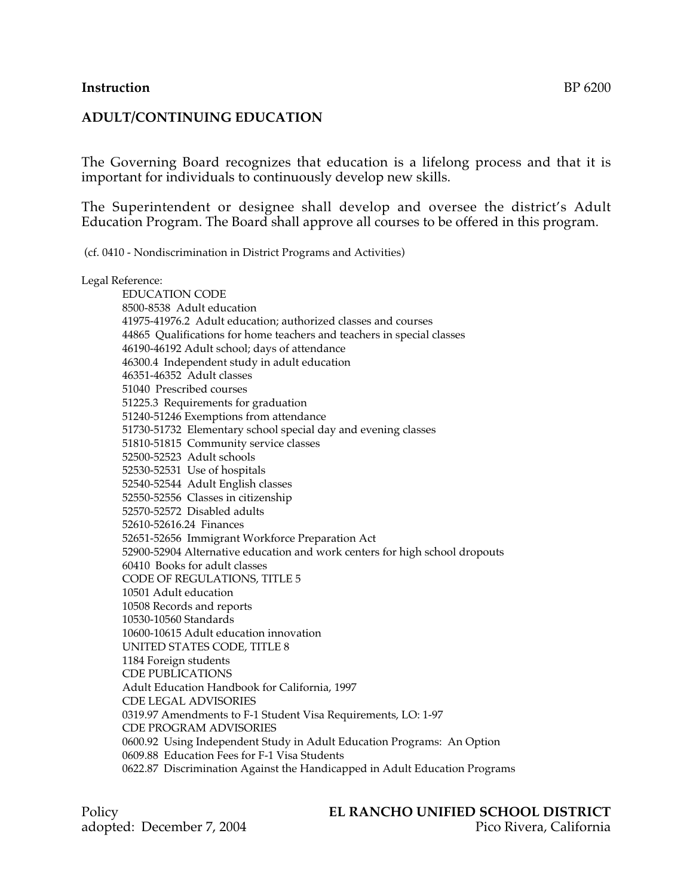### **Instruction** BP 6200

### **ADULT/CONTINUING EDUCATION**

The Governing Board recognizes that education is a lifelong process and that it is important for individuals to continuously develop new skills.

The Superintendent or designee shall develop and oversee the district's Adult Education Program. The Board shall approve all courses to be offered in this program.

(cf. 0410 - Nondiscrimination in District Programs and Activities)

#### Legal Reference:

EDUCATION CODE 8500-8538 Adult education 41975-41976.2 Adult education; authorized classes and courses 44865 Qualifications for home teachers and teachers in special classes 46190-46192 Adult school; days of attendance 46300.4 Independent study in adult education 46351-46352 Adult classes 51040 Prescribed courses 51225.3 Requirements for graduation 51240-51246 Exemptions from attendance 51730-51732 Elementary school special day and evening classes 51810-51815 Community service classes 52500-52523 Adult schools 52530-52531 Use of hospitals 52540-52544 Adult English classes 52550-52556 Classes in citizenship 52570-52572 Disabled adults 52610-52616.24 Finances 52651-52656 Immigrant Workforce Preparation Act 52900-52904 Alternative education and work centers for high school dropouts 60410 Books for adult classes CODE OF REGULATIONS, TITLE 5 10501 Adult education 10508 Records and reports 10530-10560 Standards 10600-10615 Adult education innovation UNITED STATES CODE, TITLE 8 1184 Foreign students CDE PUBLICATIONS Adult Education Handbook for California, 1997 CDE LEGAL ADVISORIES 0319.97 Amendments to F-1 Student Visa Requirements, LO: 1-97 CDE PROGRAM ADVISORIES 0600.92 Using Independent Study in Adult Education Programs: An Option 0609.88 Education Fees for F-1 Visa Students 0622.87 Discrimination Against the Handicapped in Adult Education Programs

#### Policy **EL RANCHO UNIFIED SCHOOL DISTRICT** adopted: December 7, 2004 Pico Rivera, California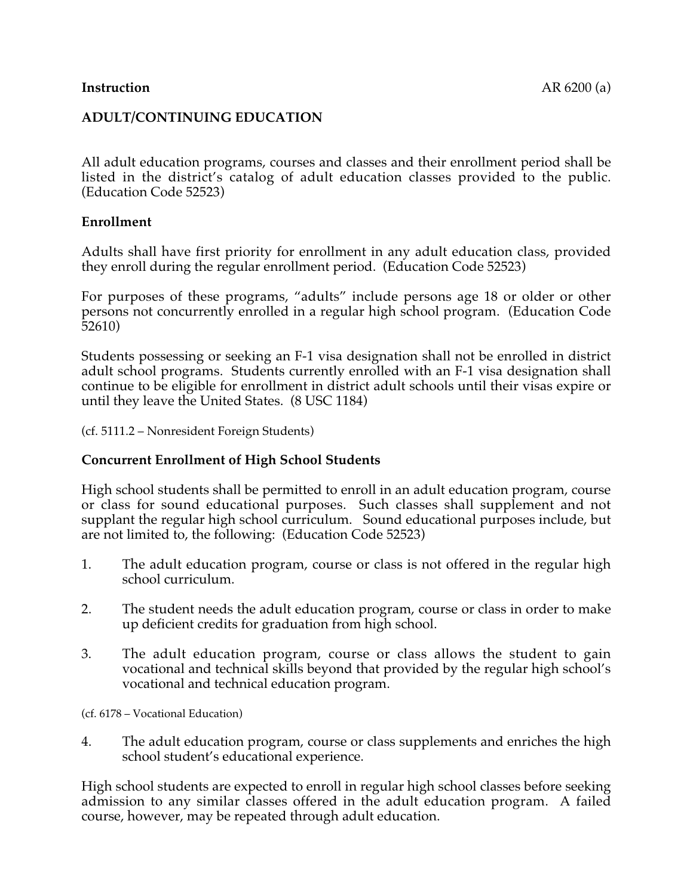## **ADULT/CONTINUING EDUCATION**

All adult education programs, courses and classes and their enrollment period shall be listed in the district's catalog of adult education classes provided to the public. (Education Code 52523)

### **Enrollment**

Adults shall have first priority for enrollment in any adult education class, provided they enroll during the regular enrollment period. (Education Code 52523)

For purposes of these programs, "adults" include persons age 18 or older or other persons not concurrently enrolled in a regular high school program. (Education Code 52610)

Students possessing or seeking an F-1 visa designation shall not be enrolled in district adult school programs. Students currently enrolled with an F-1 visa designation shall continue to be eligible for enrollment in district adult schools until their visas expire or until they leave the United States. (8 USC 1184)

(cf. 5111.2 – Nonresident Foreign Students)

### **Concurrent Enrollment of High School Students**

High school students shall be permitted to enroll in an adult education program, course or class for sound educational purposes. Such classes shall supplement and not supplant the regular high school curriculum. Sound educational purposes include, but are not limited to, the following: (Education Code 52523)

- 1. The adult education program, course or class is not offered in the regular high school curriculum.
- 2. The student needs the adult education program, course or class in order to make up deficient credits for graduation from high school.
- 3. The adult education program, course or class allows the student to gain vocational and technical skills beyond that provided by the regular high school's vocational and technical education program.

(cf. 6178 – Vocational Education)

4. The adult education program, course or class supplements and enriches the high school student's educational experience.

High school students are expected to enroll in regular high school classes before seeking admission to any similar classes offered in the adult education program. A failed course, however, may be repeated through adult education.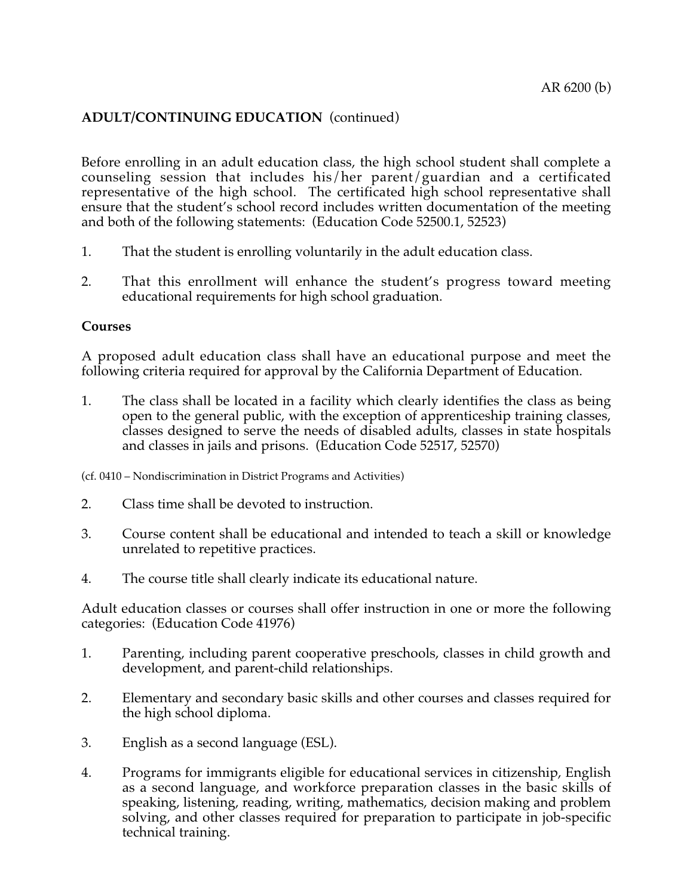# **ADULT/CONTINUING EDUCATION** (continued)

Before enrolling in an adult education class, the high school student shall complete a counseling session that includes his/her parent/guardian and a certificated representative of the high school. The certificated high school representative shall ensure that the student's school record includes written documentation of the meeting and both of the following statements: (Education Code 52500.1, 52523)

- 1. That the student is enrolling voluntarily in the adult education class.
- 2. That this enrollment will enhance the student's progress toward meeting educational requirements for high school graduation.

#### **Courses**

A proposed adult education class shall have an educational purpose and meet the following criteria required for approval by the California Department of Education.

1. The class shall be located in a facility which clearly identifies the class as being open to the general public, with the exception of apprenticeship training classes, classes designed to serve the needs of disabled adults, classes in state hospitals and classes in jails and prisons. (Education Code 52517, 52570)

(cf. 0410 – Nondiscrimination in District Programs and Activities)

- 2. Class time shall be devoted to instruction.
- 3. Course content shall be educational and intended to teach a skill or knowledge unrelated to repetitive practices.
- 4. The course title shall clearly indicate its educational nature.

Adult education classes or courses shall offer instruction in one or more the following categories: (Education Code 41976)

- 1. Parenting, including parent cooperative preschools, classes in child growth and development, and parent-child relationships.
- 2. Elementary and secondary basic skills and other courses and classes required for the high school diploma.
- 3. English as a second language (ESL).
- 4. Programs for immigrants eligible for educational services in citizenship, English as a second language, and workforce preparation classes in the basic skills of speaking, listening, reading, writing, mathematics, decision making and problem solving, and other classes required for preparation to participate in job-specific technical training.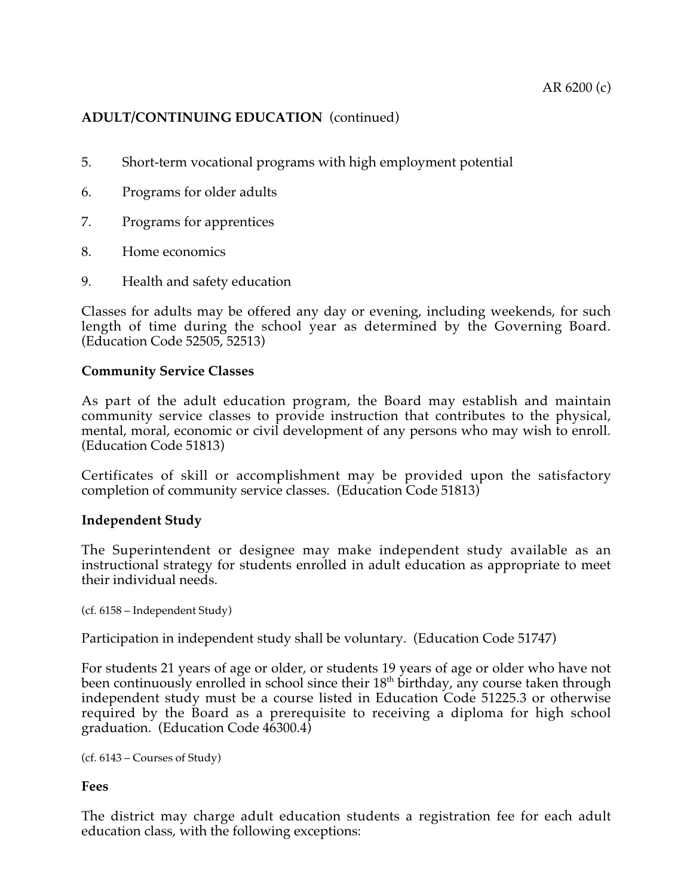# **ADULT/CONTINUING EDUCATION** (continued)

- 5. Short-term vocational programs with high employment potential
- 6. Programs for older adults
- 7. Programs for apprentices
- 8. Home economics
- 9. Health and safety education

Classes for adults may be offered any day or evening, including weekends, for such length of time during the school year as determined by the Governing Board. (Education Code 52505, 52513)

#### **Community Service Classes**

As part of the adult education program, the Board may establish and maintain community service classes to provide instruction that contributes to the physical, mental, moral, economic or civil development of any persons who may wish to enroll. (Education Code 51813)

Certificates of skill or accomplishment may be provided upon the satisfactory completion of community service classes. (Education Code 51813)

#### **Independent Study**

The Superintendent or designee may make independent study available as an instructional strategy for students enrolled in adult education as appropriate to meet their individual needs.

```
(cf. 6158 – Independent Study)
```
Participation in independent study shall be voluntary. (Education Code 51747)

For students 21 years of age or older, or students 19 years of age or older who have not been continuously enrolled in school since their 18<sup>th</sup> birthday, any course taken through independent study must be a course listed in Education Code 51225.3 or otherwise required by the Board as a prerequisite to receiving a diploma for high school graduation. (Education Code 46300.4)

```
(cf. 6143 – Courses of Study)
```
#### **Fees**

The district may charge adult education students a registration fee for each adult education class, with the following exceptions: